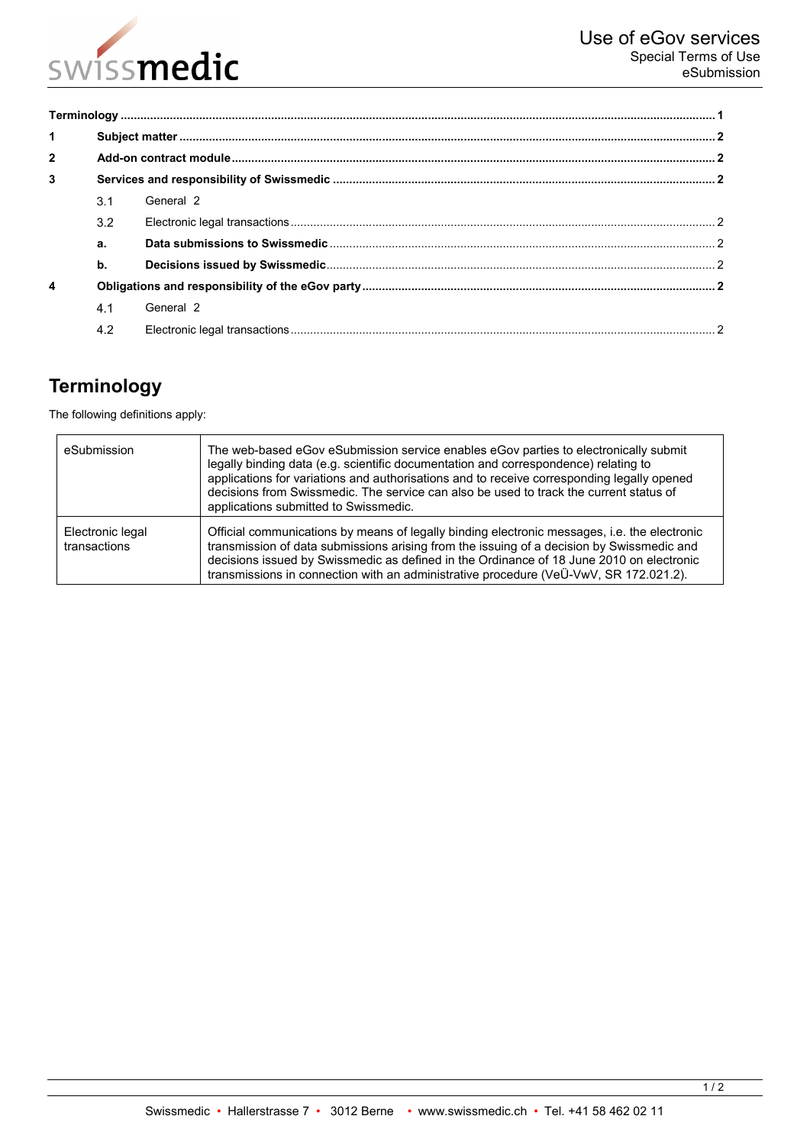

| $\mathbf{1}$   |               |           |  |
|----------------|---------------|-----------|--|
| $\overline{2}$ |               |           |  |
| 3              |               |           |  |
|                | 3.1           | General 2 |  |
|                | 3.2           |           |  |
|                | a.            |           |  |
|                | $\mathbf b$ . |           |  |
| 4              |               |           |  |
|                | 4.1           | General 2 |  |
|                | 4.2           |           |  |

# <span id="page-0-0"></span>**Terminology**

The following definitions apply:

| eSubmission                      | The web-based eGov eSubmission service enables eGov parties to electronically submit<br>legally binding data (e.g. scientific documentation and correspondence) relating to<br>applications for variations and authorisations and to receive corresponding legally opened<br>decisions from Swissmedic. The service can also be used to track the current status of<br>applications submitted to Swissmedic. |
|----------------------------------|--------------------------------------------------------------------------------------------------------------------------------------------------------------------------------------------------------------------------------------------------------------------------------------------------------------------------------------------------------------------------------------------------------------|
| Electronic legal<br>transactions | Official communications by means of legally binding electronic messages, i.e. the electronic<br>transmission of data submissions arising from the issuing of a decision by Swissmedic and<br>decisions issued by Swissmedic as defined in the Ordinance of 18 June 2010 on electronic<br>transmissions in connection with an administrative procedure (VeÜ-VwV, SR 172.021.2).                               |